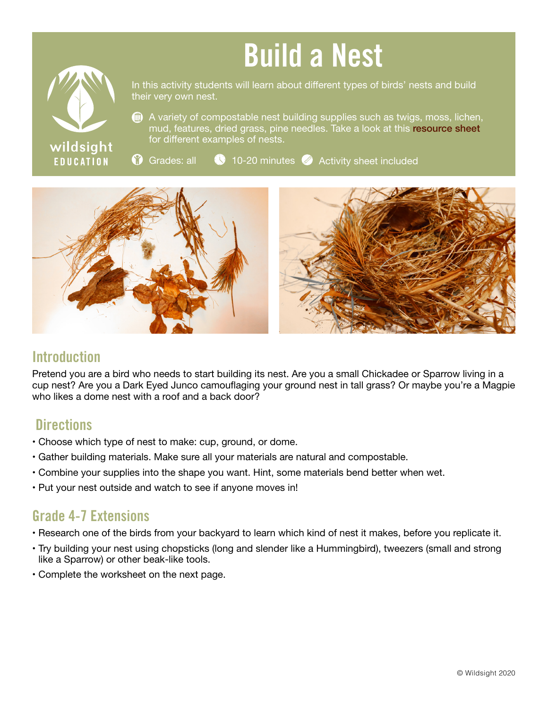# Build a Nest



In this activity students will learn about different types of birds' nests and build their very own nest.

A variety of compostable nest building supplies such as twigs, moss, lichen, mud, features, dried grass, pine needles. Take a look at this [resource sheet](https://wildsight.ca/wp-content/uploads/2020/05/Resource-sheet-Nest-Building-updated.pdf) for different examples of nests.

 $\bullet$  Grades: all  $\bullet$  10-20 minutes  $\bullet$  Activity sheet included



### **Introduction**

Pretend you are a bird who needs to start building its nest. Are you a small Chickadee or Sparrow living in a cup nest? Are you a Dark Eyed Junco camouflaging your ground nest in tall grass? Or maybe you're a Magpie who likes a dome nest with a roof and a back door?

#### **Directions**

- Choose which type of nest to make: cup, ground, or dome.
- Gather building materials. Make sure all your materials are natural and compostable.
- Combine your supplies into the shape you want. Hint, some materials bend better when wet.
- Put your nest outside and watch to see if anyone moves in!

## Grade 4-7 Extensions

- Research one of the birds from your backyard to learn which kind of nest it makes, before you replicate it.
- Try building your nest using chopsticks (long and slender like a Hummingbird), tweezers (small and strong like a Sparrow) or other beak-like tools.
- Complete the worksheet on the next page.